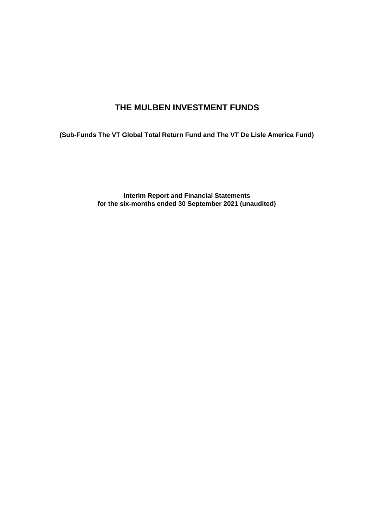# **THE MULBEN INVESTMENT FUNDS**

**(Sub-Funds The VT Global Total Return Fund and The VT De Lisle America Fund)**

**Interim Report and Financial Statements for the six-months ended 30 September 2021 (unaudited)**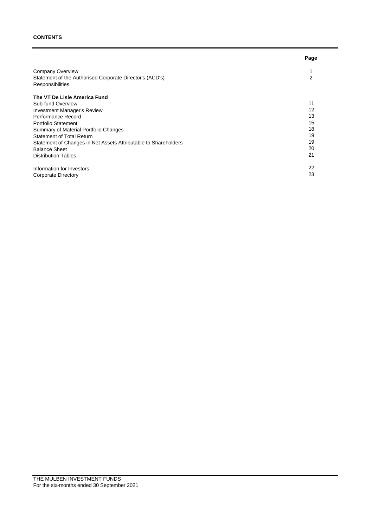### **CONTENTS**

|                                                                 | Page |
|-----------------------------------------------------------------|------|
| Company Overview                                                |      |
| Statement of the Authorised Corporate Director's (ACD's)        | 2    |
| Responsibilities                                                |      |
| The VT De Lisle America Fund                                    |      |
| Sub-fund Overview                                               | 11   |
| <b>Investment Manager's Review</b>                              | 12   |
| Performance Record                                              | 13   |
| Portfolio Statement                                             | 15   |
| Summary of Material Portfolio Changes                           | 18   |
| <b>Statement of Total Return</b>                                | 19   |
| Statement of Changes in Net Assets Attributable to Shareholders | 19   |
| <b>Balance Sheet</b>                                            | 20   |
| <b>Distribution Tables</b>                                      | 21   |
| Information for Investors                                       | 22   |
| <b>Corporate Directory</b>                                      | 23   |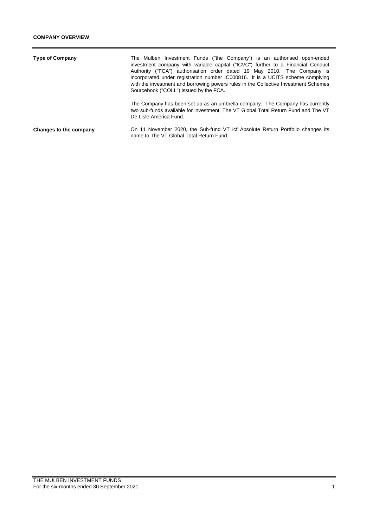| <b>Type of Company</b> | The Mulben Investment Funds ("the Company") is an authorised open-ended<br>investment company with variable capital ("ICVC") further to a Financial Conduct<br>Authority ("FCA") authorisation order dated 19 May 2010. The Company is<br>incorporated under registration number IC000816. It is a UCITS scheme complying<br>with the investment and borrowing powers rules in the Collective Investment Schemes<br>Sourcebook ("COLL") issued by the FCA. |
|------------------------|------------------------------------------------------------------------------------------------------------------------------------------------------------------------------------------------------------------------------------------------------------------------------------------------------------------------------------------------------------------------------------------------------------------------------------------------------------|
|                        | The Company has been set up as an umbrella company. The Company has currently<br>two sub-funds available for investment, The VT Global Total Return Fund and The VT<br>De Lisle America Fund.                                                                                                                                                                                                                                                              |
| Changes to the company | On 11 November 2020, the Sub-fund VT icf Absolute Return Portfolio changes its<br>name to The VT Global Total Return Fund.                                                                                                                                                                                                                                                                                                                                 |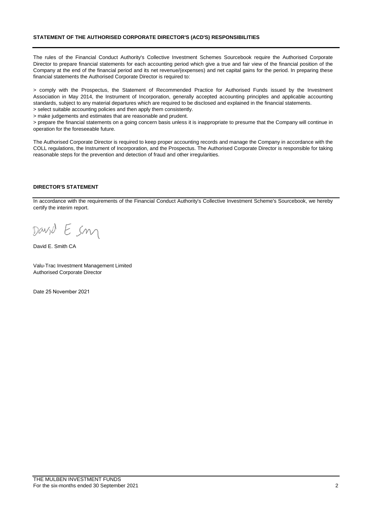### **STATEMENT OF THE AUTHORISED CORPORATE DIRECTOR'S (ACD'S) RESPONSIBILITIES**

The rules of the Financial Conduct Authority's Collective Investment Schemes Sourcebook require the Authorised Corporate Director to prepare financial statements for each accounting period which give a true and fair view of the financial position of the Company at the end of the financial period and its net revenue/(expenses) and net capital gains for the period. In preparing these financial statements the Authorised Corporate Director is required to:

> comply with the Prospectus, the Statement of Recommended Practice for Authorised Funds issued by the Investment Association in May 2014, the Instrument of Incorporation, generally accepted accounting principles and applicable accounting standards, subject to any material departures which are required to be disclosed and explained in the financial statements.

> select suitable accounting policies and then apply them consistently. > make judgements and estimates that are reasonable and prudent.

> prepare the financial statements on a going concern basis unless it is inappropriate to presume that the Company will continue in

operation for the foreseeable future.

The Authorised Corporate Director is required to keep proper accounting records and manage the Company in accordance with the COLL regulations, the Instrument of Incorporation, and the Prospectus. The Authorised Corporate Director is responsible for taking reasonable steps for the prevention and detection of fraud and other irregularities.

### **DIRECTOR'S STATEMENT**

In accordance with the requirements of the Financial Conduct Authority's Collective Investment Scheme's Sourcebook, we hereby certify the interim report.

Esm David

David E. Smith CA

Valu-Trac Investment Management Limited Authorised Corporate Director

Date 25 November 2021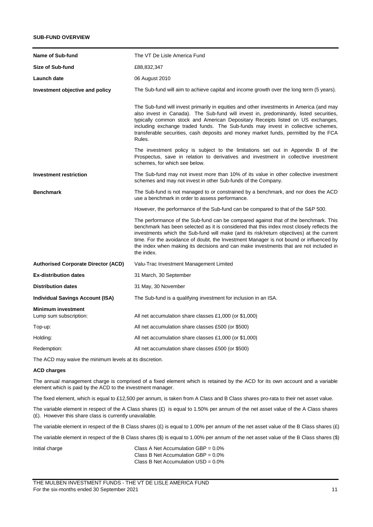### **SUB-FUND OVERVIEW**

| <b>Name of Sub-fund</b>                             | The VT De Lisle America Fund                                                                                                                                                                                                                                                                                                                                                                                                                                                  |
|-----------------------------------------------------|-------------------------------------------------------------------------------------------------------------------------------------------------------------------------------------------------------------------------------------------------------------------------------------------------------------------------------------------------------------------------------------------------------------------------------------------------------------------------------|
| Size of Sub-fund                                    | £88,832,347                                                                                                                                                                                                                                                                                                                                                                                                                                                                   |
| Launch date                                         | 06 August 2010                                                                                                                                                                                                                                                                                                                                                                                                                                                                |
| Investment objective and policy                     | The Sub-fund will aim to achieve capital and income growth over the long term (5 years).                                                                                                                                                                                                                                                                                                                                                                                      |
|                                                     | The Sub-fund will invest primarily in equities and other investments in America (and may<br>also invest in Canada). The Sub-fund will invest in, predominantly, listed securities,<br>typically common stock and American Depositary Receipts listed on US exchanges,<br>including exchange traded funds. The Sub-funds may invest in collective schemes,<br>transferable securities, cash deposits and money market funds, permitted by the FCA<br>Rules.                    |
|                                                     | The investment policy is subject to the limitations set out in Appendix B of the<br>Prospectus, save in relation to derivatives and investment in collective investment<br>schemes, for which see below.                                                                                                                                                                                                                                                                      |
| Investment restriction                              | The Sub-fund may not invest more than 10% of its value in other collective investment<br>schemes and may not invest in other Sub-funds of the Company.                                                                                                                                                                                                                                                                                                                        |
| <b>Benchmark</b>                                    | The Sub-fund is not managed to or constrained by a benchmark, and nor does the ACD<br>use a benchmark in order to assess performance.                                                                                                                                                                                                                                                                                                                                         |
|                                                     | However, the performance of the Sub-fund can be compared to that of the S&P 500.                                                                                                                                                                                                                                                                                                                                                                                              |
|                                                     | The performance of the Sub-fund can be compared against that of the benchmark. This<br>benchmark has been selected as it is considered that this index most closely reflects the<br>investments which the Sub-fund will make (and its risk/return objectives) at the current<br>time. For the avoidance of doubt, the Investment Manager is not bound or influenced by<br>the index when making its decisions and can make investments that are not included in<br>the index. |
| <b>Authorised Corporate Director (ACD)</b>          | Valu-Trac Investment Management Limited                                                                                                                                                                                                                                                                                                                                                                                                                                       |
| <b>Ex-distribution dates</b>                        | 31 March, 30 September                                                                                                                                                                                                                                                                                                                                                                                                                                                        |
| <b>Distribution dates</b>                           | 31 May, 30 November                                                                                                                                                                                                                                                                                                                                                                                                                                                           |
| <b>Individual Savings Account (ISA)</b>             | The Sub-fund is a qualifying investment for inclusion in an ISA.                                                                                                                                                                                                                                                                                                                                                                                                              |
| <b>Minimum investment</b><br>Lump sum subscription: | All net accumulation share classes £1,000 (or \$1,000)                                                                                                                                                                                                                                                                                                                                                                                                                        |
| Top-up:                                             | All net accumulation share classes £500 (or \$500)                                                                                                                                                                                                                                                                                                                                                                                                                            |
| Holding:                                            | All net accumulation share classes £1,000 (or \$1,000)                                                                                                                                                                                                                                                                                                                                                                                                                        |
| Redemption:                                         | All net accumulation share classes £500 (or \$500)                                                                                                                                                                                                                                                                                                                                                                                                                            |

The ACD may waive the minimum levels at its discretion.

#### **ACD charges**

The annual management charge is comprised of a fixed element which is retained by the ACD for its own account and a variable element which is paid by the ACD to the investment manager.

The fixed element, which is equal to £12,500 per annum, is taken from A Class and B Class shares pro-rata to their net asset value.

The variable element in respect of the A Class shares  $(E)$  is equal to 1.50% per annum of the net asset value of the A Class shares (£). However this share class is currently unavailable.

The variable element in respect of the B Class shares  $(E)$  is equal to 1.00% per annum of the net asset value of the B Class shares  $(E)$ .

The variable element in respect of the B Class shares (\$) is equal to 1.00% per annum of the net asset value of the B Class shares (\$).

Initial charge Class A Net Accumulation GBP =  $0.0\%$ Class B Net Accumulation GBP = 0.0% Class B Net Accumulation USD = 0.0%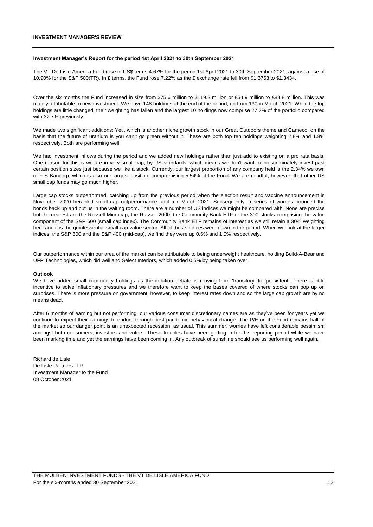#### **INVESTMENT MANAGER'S REVIEW**

#### **Investment Manager's Report for the period 1st April 2021 to 30th September 2021**

The VT De Lisle America Fund rose in US\$ terms 4.67% for the period 1st April 2021 to 30th September 2021, against a rise of 10.90% for the S&P 500(TR). In £ terms, the Fund rose 7.22% as the £ exchange rate fell from \$1.3763 to \$1.3434.

Over the six months the Fund increased in size from \$75.6 million to \$119.3 million or £54.9 million to £88.8 million. This was mainly attributable to new investment. We have 148 holdings at the end of the period, up from 130 in March 2021. While the top holdings are little changed, their weighting has fallen and the largest 10 holdings now comprise 27.7% of the portfolio compared with 32.7% previously.

We made two significant additions: Yeti, which is another niche growth stock in our Great Outdoors theme and Cameco, on the basis that the future of uranium is you can't go green without it. These are both top ten holdings weighting 2.8% and 1.8% respectively. Both are performing well.

We had investment inflows during the period and we added new holdings rather than just add to existing on a pro rata basis. One reason for this is we are in very small cap, by US standards, which means we don't want to indiscriminately invest past certain position sizes just because we like a stock. Currently, our largest proportion of any company held is the 2.34% we own of F S Bancorp, which is also our largest position, compromising 5.54% of the Fund. We are mindful, however, that other US small cap funds may go much higher.

Large cap stocks outperformed, catching up from the previous period when the election result and vaccine announcement in November 2020 heralded small cap outperformance until mid-March 2021. Subsequently, a series of worries bounced the bonds back up and put us in the waiting room. There are a number of US indices we might be compared with. None are precise but the nearest are the Russell Microcap, the Russell 2000, the Community Bank ETF or the 300 stocks comprising the value component of the S&P 600 (small cap index). The Community Bank ETF remains of interest as we still retain a 30% weighting here and it is the quintessential small cap value sector. All of these indices were down in the period. When we look at the larger indices, the S&P 600 and the S&P 400 (mid-cap), we find they were up 0.6% and 1.0% respectively.

Our outperformance within our area of the market can be attributable to being underweight healthcare, holding Build-A-Bear and UFP Technologies, which did well and Select Interiors, which added 0.5% by being taken over.

#### **Outlook**

We have added small commodity holdings as the inflation debate is moving from 'transitory' to 'persistent'. There is little incentive to solve inflationary pressures and we therefore want to keep the bases covered of where stocks can pop up on surprises. There is more pressure on government, however, to keep interest rates down and so the large cap growth are by no means dead.

After 6 months of earning but not performing, our various consumer discretionary names are as they've been for years yet we continue to expect their earnings to endure through post pandemic behavioural change. The P/E on the Fund remains half of the market so our danger point is an unexpected recession, as usual. This summer, worries have left considerable pessimism amongst both consumers, investors and voters. These troubles have been getting in for this reporting period while we have been marking time and yet the earnings have been coming in. Any outbreak of sunshine should see us performing well again.

Richard de Lisle De Lisle Partners LLP Investment Manager to the Fund 08 October 2021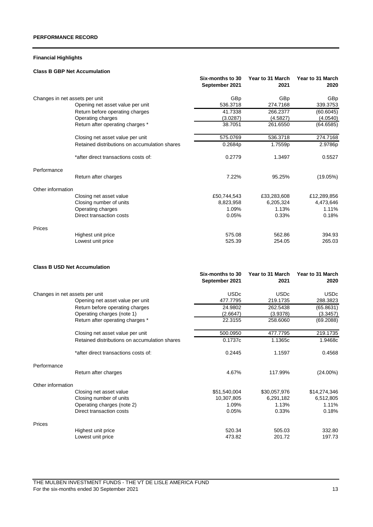## **Financial Highlights**

### **Class B GBP Net Accumulation**

|                                |                                               | Six-months to 30<br>September 2021 | Year to 31 March<br>2021 | Year to 31 March<br>2020 |
|--------------------------------|-----------------------------------------------|------------------------------------|--------------------------|--------------------------|
| Changes in net assets per unit |                                               | GBp                                | GBp                      | GB <sub>p</sub>          |
|                                | Opening net asset value per unit              | 536.3718                           | 274.7168                 | 339.3753                 |
|                                | Return before operating charges               | 41.7338                            | 266.2377                 | (60.6045)                |
|                                | Operating charges                             | (3.0287)                           | (4.5827)                 | (4.0540)                 |
|                                | Return after operating charges *              | 38.7051                            | 261.6550                 | (64.6585)                |
|                                | Closing net asset value per unit              | 575.0769                           | 536.3718                 | 274.7168                 |
|                                | Retained distributions on accumulation shares | 0.2684p                            | 1.7559p                  | 2.9786p                  |
|                                | *after direct transactions costs of:          | 0.2779                             | 1.3497                   | 0.5527                   |
| Performance                    |                                               |                                    |                          |                          |
|                                | Return after charges                          | 7.22%                              | 95.25%                   | (19.05%)                 |
| Other information              |                                               |                                    |                          |                          |
|                                | Closing net asset value                       | £50,744,543                        | £33,283,608              | £12,289,856              |
|                                | Closing number of units                       | 8,823,958                          | 6,205,324                | 4,473,646                |
|                                | Operating charges                             | 1.09%                              | 1.13%                    | 1.11%                    |
|                                | Direct transaction costs                      | 0.05%                              | 0.33%                    | 0.18%                    |
| Prices                         |                                               |                                    |                          |                          |
|                                | Highest unit price                            | 575.08                             | 562.86                   | 394.93                   |
|                                | Lowest unit price                             | 525.39                             | 254.05                   | 265.03                   |

### **Class B USD Net Accumulation**

|                                |                                               | Six-months to 30<br>September 2021 | Year to 31 March<br>2021 | Year to 31 March<br>2020 |
|--------------------------------|-----------------------------------------------|------------------------------------|--------------------------|--------------------------|
| Changes in net assets per unit |                                               | <b>USDc</b>                        | <b>USDc</b>              | <b>USDc</b>              |
|                                | Opening net asset value per unit              | 477.7795                           | 219.1735                 | 288.3823                 |
|                                | Return before operating charges               | 24.9802                            | 262.5438                 | (65.8631)                |
|                                | Operating charges (note 1)                    | (2.6647)                           | (3.9378)                 | (3.3457)                 |
|                                | Return after operating charges *              | 22.3155                            | 258,6060                 | (69.2088)                |
|                                | Closing net asset value per unit              | 500.0950                           | 477.7795                 | 219.1735                 |
|                                | Retained distributions on accumulation shares | 0.1737c                            | 1.1365c                  | 1.9468c                  |
|                                | *after direct transactions costs of:          | 0.2445                             | 1.1597                   | 0.4568                   |
| Performance                    |                                               |                                    |                          |                          |
|                                | Return after charges                          | 4.67%                              | 117.99%                  | $(24.00\%)$              |
| Other information              |                                               |                                    |                          |                          |
|                                | Closing net asset value                       | \$51,540,004                       | \$30,057,976             | \$14,274,346             |
|                                | Closing number of units                       | 10,307,805                         | 6,291,182                | 6,512,805                |
|                                | Operating charges (note 2)                    | 1.09%                              | 1.13%                    | 1.11%                    |
|                                | Direct transaction costs                      | 0.05%                              | 0.33%                    | 0.18%                    |
| Prices                         |                                               |                                    |                          |                          |
|                                | Highest unit price                            | 520.34                             | 505.03                   | 332.80                   |
|                                | Lowest unit price                             | 473.82                             | 201.72                   | 197.73                   |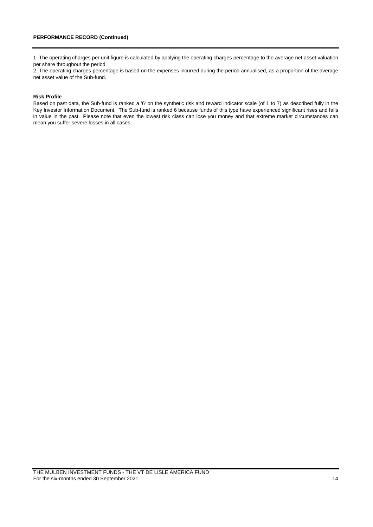1. The operating charges per unit figure is calculated by applying the operating charges percentage to the average net asset valuation per share throughout the period.

2. The operating charges percentage is based on the expenses incurred during the period annualised, as a proportion of the average net asset value of the Sub-fund.

#### **Risk Profile**

Based on past data, the Sub-fund is ranked a '6' on the synthetic risk and reward indicator scale (of 1 to 7) as described fully in the Key Investor Information Document. The Sub-fund is ranked 6 because funds of this type have experienced significant rises and falls in value in the past. Please note that even the lowest risk class can lose you money and that extreme market circumstances can mean you suffer severe losses in all cases.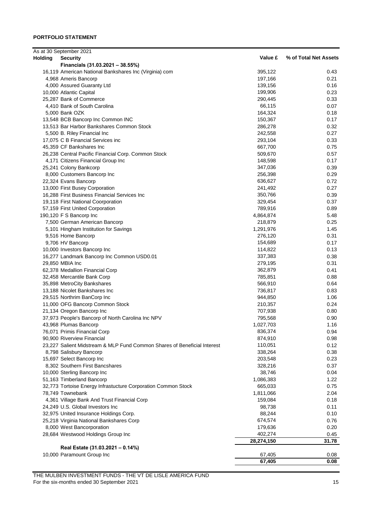|                | As at 30 September 2021                                                  |            |                       |
|----------------|--------------------------------------------------------------------------|------------|-----------------------|
| <b>Holding</b> | <b>Security</b>                                                          | Value £    | % of Total Net Assets |
|                | Financials (31.03.2021 - 38.55%)                                         |            |                       |
|                | 16,119 American National Bankshares Inc (Virginia) com                   | 395,122    | 0.43                  |
|                | 4,968 Ameris Bancorp                                                     | 197,166    | 0.21                  |
|                | 4,000 Assured Guaranty Ltd                                               | 139,156    | 0.16                  |
|                | 10,000 Atlantic Capital                                                  | 199,906    | 0.23                  |
|                | 25,287 Bank of Commerce                                                  | 290,445    | 0.33                  |
|                | 4,410 Bank of South Carolina                                             | 66,115     | 0.07                  |
|                | 5,000 Bank OZK                                                           | 164,324    | 0.18                  |
|                | 13,548 BCB Bancorp Inc Common INC                                        | 150,367    | 0.17                  |
|                | 13,513 Bar Harbor Bankshares Common Stock                                | 286,278    | 0.32                  |
|                | 5,500 B. Riley Financial Inc                                             | 242,558    | 0.27                  |
|                | 17,075 C B Financial Services inc                                        | 293,104    | 0.33                  |
|                | 45,359 CF Bankshares Inc                                                 | 667,700    | 0.75                  |
|                | 26,238 Central Pacific Financial Corp. Common Stock                      | 509,670    | 0.57                  |
|                | 4,171 Citizens Financial Group Inc                                       | 148,598    | 0.17                  |
|                | 25,241 Colony Bankcorp                                                   | 347,036    | 0.39                  |
|                | 8,000 Customers Bancorp Inc                                              | 256,398    | 0.29                  |
|                | 22,324 Evans Bancorp                                                     | 636,627    | 0.72                  |
|                | 13,000 First Busey Corporation                                           | 241,492    | 0.27                  |
|                | 16,288 First Business Financial Services Inc                             | 350,766    | 0.39                  |
|                | 19,118 First National Coorporation                                       | 329,454    | 0.37                  |
|                |                                                                          | 789,916    | 0.89                  |
|                | 57,159 First United Corporation                                          |            |                       |
|                | 190,120 F S Bancorp Inc                                                  | 4,864,874  | 5.48                  |
|                | 7,500 German American Bancorp                                            | 218,879    | 0.25                  |
|                | 5,101 Hingham Institution for Savings                                    | 1,291,976  | 1.45                  |
|                | 9,516 Home Bancorp                                                       | 276,120    | 0.31                  |
|                | 9,706 HV Bancorp                                                         | 154,689    | 0.17                  |
|                | 10,000 Investors Bancorp Inc                                             | 114,822    | 0.13                  |
|                | 16,277 Landmark Bancorp Inc Common USD0.01                               | 337,383    | 0.38                  |
|                | 29,850 MBIA Inc                                                          | 279,195    | 0.31                  |
|                | 62,378 Medallion Financial Corp                                          | 362,879    | 0.41                  |
|                | 32,458 Mercantile Bank Corp                                              | 785,851    | 0.88                  |
|                | 35,898 MetroCity Bankshares                                              | 566,910    | 0.64                  |
|                | 13,188 Nicolet Bankshares Inc                                            | 736,817    | 0.83                  |
|                | 29,515 Northrim BanCorp Inc                                              | 944,850    | 1.06                  |
|                | 11,000 OFG Bancorp Common Stock                                          | 210,357    | 0.24                  |
|                | 21,134 Oregon Bancorp Inc                                                | 707,938    | 0.80                  |
|                | 37,973 People's Bancorp of North Carolina Inc NPV                        | 795,568    | 0.90                  |
|                | 43,968 Plumas Bancorp                                                    | 1,027,703  | 1.16                  |
|                | 76,071 Primis Financial Corp                                             | 836,374    | 0.94                  |
|                | 90,900 Riverview Financial                                               | 874,910    | 0.98                  |
|                | 23,227 Salient Midstream & MLP Fund Common Shares of Beneficial Interest | 110,051    | 0.12                  |
|                | 8,798 Salisbury Bancorp                                                  | 338,264    | 0.38                  |
|                | 15,697 Select Bancorp Inc                                                | 203,548    | 0.23                  |
|                | 8,302 Southern First Bancshares                                          | 328,216    | 0.37                  |
|                | 10,000 Sterling Bancorp Inc                                              | 38,746     | 0.04                  |
|                | 51,163 Timberland Bancorp                                                | 1,086,383  | 1.22                  |
|                | 32,773 Tortoise Energy Infrastucture Corporation Common Stock            | 665,033    | 0.75                  |
|                | 78,749 Townebank                                                         | 1,811,066  | 2.04                  |
|                | 4,361 Village Bank And Trust Financial Corp                              | 159,084    | 0.18                  |
|                | 24,249 U.S. Global Investors Inc                                         | 98,738     | 0.11                  |
|                | 32,975 United Insurance Holdings Corp.                                   | 88,244     | 0.10                  |
|                | 25,218 Virginia National Bankshares Corp                                 | 674,574    | 0.76                  |
|                | 8,000 West Bancorporation                                                | 179,636    | 0.20                  |
|                | 28,684 Westwood Holdings Group Inc                                       | 402,274    | 0.45                  |
|                |                                                                          | 28,274,150 | 31.78                 |
|                | Real Estate (31.03.2021 - 0.14%)                                         |            |                       |
|                | 10,000 Paramount Group Inc                                               | 67,405     | 0.08                  |
|                |                                                                          | 67,405     | 0.08                  |

THE MULBEN INVESTMENT FUNDS - THE VT DE LISLE AMERICA FUND For the six-months ended 30 September 2021 15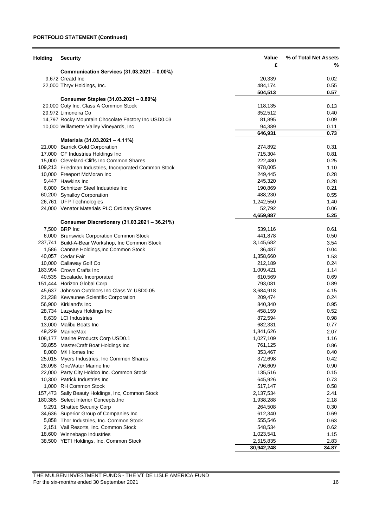### **PORTFOLIO STATEMENT (Continued)**

| <b>Holding</b> | <b>Security</b>                                                                | Value              | % of Total Net Assets |
|----------------|--------------------------------------------------------------------------------|--------------------|-----------------------|
|                |                                                                                | £                  | %                     |
|                | Communication Services (31.03.2021 - 0.00%)                                    |                    |                       |
|                | 9,672 Creatd Inc                                                               | 20,339             | 0.02                  |
|                | 22,000 Thryv Holdings, Inc.                                                    | 484,174            | 0.55                  |
|                |                                                                                | 504,513            | 0.57                  |
|                | Consumer Staples (31.03.2021 - 0.80%)                                          |                    |                       |
|                | 20,000 Coty Inc. Class A Common Stock                                          | 118,135            | 0.13                  |
|                | 29,972 Limoneira Co                                                            | 352,512            | 0.40                  |
|                | 14,797 Rocky Mountain Chocolate Factory Inc USD0.03                            | 81,895             | 0.09                  |
|                | 10,000 Willamette Valley Vineyards, Inc                                        | 94,389             | 0.11                  |
|                |                                                                                | 646,931            | 0.73                  |
|                | Materials (31.03.2021 - 4.11%)                                                 |                    |                       |
|                | 21,000 Barrick Gold Corporation                                                | 274,892            | 0.31                  |
|                | 17,000 CF Industries Holdings Inc<br>15,000 Cleveland-Cliffs Inc Common Shares | 715,304<br>222,480 | 0.81<br>0.25          |
|                | 109,213 Friedman Industries, Incorporated Common Stock                         | 978,005            | 1.10                  |
|                | 10,000 Freeport McMoran Inc                                                    | 249,445            | 0.28                  |
|                | 9,447 Hawkins Inc                                                              | 245,320            | 0.28                  |
|                | 6,000 Schnitzer Steel Industries Inc                                           | 190,869            | 0.21                  |
|                | 60,200 Synalloy Corporation                                                    | 488,230            | 0.55                  |
|                | 26,761 UFP Technologies                                                        | 1,242,550          | 1.40                  |
|                | 24,000 Venator Materials PLC Ordinary Shares                                   | 52,792             | 0.06                  |
|                |                                                                                | 4,659,887          | 5.25                  |
|                | Consumer Discretionary (31.03.2021 - 36.21%)                                   |                    |                       |
|                | 7,500 BRP Inc                                                                  | 539,116            | 0.61                  |
|                | 6,000 Brunswick Corporation Common Stock                                       | 441,878            | 0.50                  |
|                | 237,741 Build-A-Bear Workshop, Inc Common Stock                                | 3,145,682          | 3.54                  |
|                | 1,586 Cannae Holdings, Inc Common Stock                                        | 36,487             | 0.04                  |
|                | 40,057 Cedar Fair                                                              | 1,358,660          | 1.53                  |
|                | 10,000 Callaway Golf Co                                                        | 212,189            | 0.24                  |
|                | 183,994 Crown Crafts Inc                                                       | 1,009,421          | 1.14                  |
|                | 40,535 Escalade, Incorporated                                                  | 610,569            | 0.69                  |
|                | 151,444 Horizon Global Corp                                                    | 793,081            | 0.89                  |
|                | 45,637 Johnson Outdoors Inc Class 'A' USD0.05                                  | 3,684,918          | 4.15                  |
|                | 21,238 Kewaunee Scientific Corporation                                         | 209,474            | 0.24                  |
|                | 56,900 Kirkland's Inc.                                                         | 840,340            | 0.95                  |
|                | 28,734 Lazydays Holdings Inc                                                   | 458,159            | 0.52                  |
|                | 8.639 LCI Industries                                                           | 872,594            | 0.98                  |
|                | 13,000 Malibu Boats Inc                                                        | 682,331            | 0.77                  |
|                | 49,229 MarineMax                                                               | 1,841,626          | 2.07                  |
|                | 108,177 Marine Products Corp USD0.1                                            | 1,027,109          | 1.16                  |
|                | 39,855 MasterCraft Boat Holdings Inc                                           | 761,125            | 0.86                  |
|                | 8,000 M/I Homes Inc                                                            | 353,467            | 0.40                  |
|                | 25,015 Myers Industries, Inc Common Shares                                     | 372,698            | 0.42                  |
|                | 26,098 OneWater Marine Inc                                                     | 796,609            | 0.90                  |
|                | 22,000 Party City Holdco Inc. Common Stock                                     | 135,516            | 0.15                  |
|                | 10,300 Patrick Industries Inc                                                  | 645,926            | 0.73                  |
|                | 1,000 RH Common Stock                                                          | 517,147            | 0.58                  |
|                | 157,473 Sally Beauty Holdings, Inc, Common Stock                               | 2,137,534          | 2.41                  |
|                | 180,385 Select Interior Concepts, Inc.                                         | 1,938,288          | 2.18                  |
|                | 9,291 Strattec Security Corp                                                   | 264,508            | 0.30                  |
|                | 34,636 Superior Group of Companies Inc                                         | 612,340            | 0.69                  |
|                | 5,858 Thor Industries, Inc. Common Stock                                       | 555,546            | 0.63                  |
|                | 2,151 Vail Resorts, Inc. Common Stock                                          | 548,534            | 0.62                  |
|                | 18,600 Winnebago Industries                                                    | 1,023,541          | 1.15                  |
|                | 38,500 YETI Holdings, Inc. Common Stock                                        | 2,515,835          | 2.83                  |
|                |                                                                                | 30,942,248         | 34.87                 |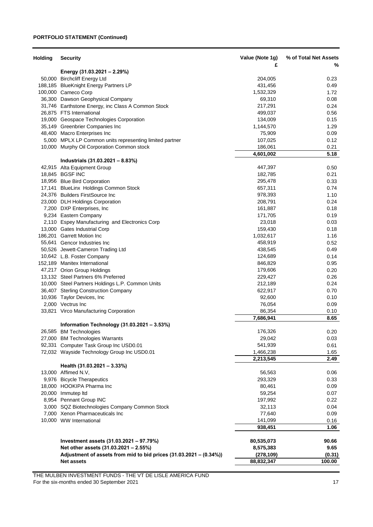### **PORTFOLIO STATEMENT (Continued)**

| <b>Holding</b> | <b>Security</b>                                                                   | Value (Note 1g)    | % of Total Net Assets |
|----------------|-----------------------------------------------------------------------------------|--------------------|-----------------------|
|                | Energy (31.03.2021 – 2.29%)                                                       | £                  | %                     |
|                | 50,000 Birchcliff Energy Ltd                                                      | 204,005            | 0.23                  |
|                | 188,185 BlueKnight Energy Partners LP                                             | 431,456            | 0.49                  |
|                | 100,000 Cameco Corp                                                               | 1,532,329          | 1.72                  |
|                | 36,300 Dawson Geophysical Company                                                 | 69,310             | 0.08                  |
|                | 31,746 Earthstone Energy, inc Class A Common Stock                                | 217,291            | 0.24                  |
|                | 26,875 FTS International                                                          | 499,037            | 0.56                  |
|                | 19,000 Geospace Technologies Corporation                                          | 134,009            | 0.15                  |
|                | 35,149 Greenbrier Companies Inc                                                   | 1,144,570          | 1.29                  |
|                | 48,400 Macro Enterprises Inc                                                      | 75,909             | 0.09                  |
|                | 5,000 MPLX LP Common units representing limited partner                           | 107,025            | 0.12                  |
|                | 10,000 Murphy Oil Corporation Common stock                                        | 186,061            | 0.21                  |
|                |                                                                                   | 4,601,002          | 5.18                  |
|                | Industrials (31.03.2021 - 8.83%)                                                  |                    |                       |
|                | 42,915 Alta Equipment Group<br>18,845 BGSF INC                                    | 447,397            | 0.50                  |
|                | 18,956 Blue Bird Corporation                                                      | 182,785<br>295,478 | 0.21<br>0.33          |
|                |                                                                                   | 657,311            | 0.74                  |
|                | 17,141 BlueLinx Holdings Common Stock<br>24,376 Builders FirstSource Inc          | 978,393            | 1.10                  |
|                | 23,000 DLH Holdings Corporation                                                   | 208,791            | 0.24                  |
|                | 7,200 DXP Enterprises, Inc                                                        | 161,887            | 0.18                  |
|                | 9,234 Eastern Company                                                             | 171,705            | 0.19                  |
|                | 2,110 Espey Manufacturing and Electronics Corp                                    | 23,018             | 0.03                  |
|                | 13,000 Gates Industrial Corp                                                      | 159,430            | 0.18                  |
|                | 186,201 Garrett Motion Inc                                                        | 1,032,617          | 1.16                  |
|                | 55,641 Gencor Industries Inc                                                      | 458,919            | 0.52                  |
|                | 50,526 Jewett-Cameron Trading Ltd                                                 | 438,545            | 0.49                  |
|                | 10,642 L.B. Foster Company                                                        | 124,689            | 0.14                  |
|                | 152,189 Manitex International                                                     | 846,829            | 0.95                  |
|                | 47,217 Orion Group Holdings                                                       | 179,606            | 0.20                  |
|                | 13,132 Steel Partners 6% Preferred                                                | 229,427            | 0.26                  |
|                | 10,000 Steel Partners Holdings L.P. Common Units                                  | 212,189            | 0.24                  |
|                | 36,407 Sterling Construction Company                                              | 622,917            | 0.70                  |
|                | 10,936 Taylor Devices, Inc                                                        | 92,600             | 0.10                  |
|                | 2,000 Vectrus Inc                                                                 | 76,054             | 0.09                  |
|                | 33,821 Virco Manufacturing Corporation                                            | 86,354             | 0.10                  |
|                |                                                                                   | 7,686,941          | 8.65                  |
|                | Information Technology (31.03.2021 - 3.53%)                                       |                    |                       |
|                | 26,585 BM Technologies                                                            | 176,326            | 0.20                  |
|                | 27,000 BM Technologies Warrants                                                   | 29,042             | 0.03                  |
|                | 92,331 Computer Task Group Inc USD0.01                                            | 541,939            | 0.61                  |
|                | 72,032 Wayside Technology Group Inc USD0.01                                       | 1,466,238          | 1.65                  |
|                |                                                                                   | 2,213,545          | 2.49                  |
|                | Health (31.03.2021 - 3.33%)                                                       |                    |                       |
|                | 13,000 Affimed N.V,                                                               | 56,563             | 0.06                  |
|                | 9,976 Bicycle Therapeutics<br>18,000 HOOKIPA Pharma Inc                           | 293,329<br>80,461  | 0.33                  |
|                |                                                                                   |                    | 0.09                  |
|                | 20,000 Immutep Itd<br>8,954 Pennant Group INC                                     | 59,254<br>197,992  | 0.07<br>0.22          |
|                |                                                                                   | 32,113             | 0.04                  |
|                | 3,000 SQZ Biotechnologies Company Common Stock<br>7,000 Xenon Pharmaceuticals Inc | 77,640             | 0.09                  |
|                | 10,000 WW International                                                           |                    |                       |
|                |                                                                                   | 141,099<br>938,451 | 0.16<br>1.06          |
|                |                                                                                   |                    |                       |
|                | Investment assets (31.03.2021 - 97.79%)                                           | 80,535,073         | 90.66                 |
|                | Net other assets (31.03.2021 - 2.55%)                                             | 8,575,383          | 9.65                  |
|                | Adjustment of assets from mid to bid prices (31.03.2021 - (0.34%))                | (278, 109)         | (0.31)                |
|                | <b>Net assets</b>                                                                 | 88,832,347         | 100.00                |

THE MULBEN INVESTMENT FUNDS - THE VT DE LISLE AMERICA FUND

For the six-months ended 30 September 2021 17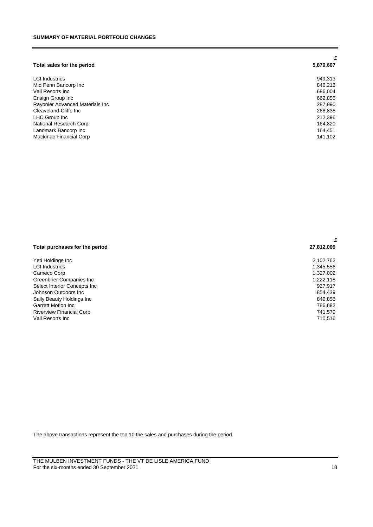|                                 | £         |
|---------------------------------|-----------|
| Total sales for the period      | 5,870,607 |
| <b>LCI</b> Industries           | 949,313   |
| Mid Penn Bancorp Inc            | 846,213   |
| Vail Resorts Inc.               | 686.004   |
| Ensign Group Inc                | 662,855   |
| Rayonier Advanced Materials Inc | 287,990   |
| Cleaveland-Cliffs Inc.          | 268,838   |
| LHC Group Inc                   | 212,396   |
| National Research Corp          | 164.820   |
| Landmark Bancorp Inc            | 164.451   |
| Mackinac Financial Corp         | 141,102   |

|                                 | £          |  |
|---------------------------------|------------|--|
| Total purchases for the period  | 27,812,009 |  |
| Yeti Holdings Inc               | 2,102,762  |  |
| <b>LCI</b> Industries           | 1,345,556  |  |
| Cameco Corp                     | 1,327,002  |  |
| Greenbrier Companies Inc        | 1,222,118  |  |
| Select Interior Concepts Inc    | 927,917    |  |
| Johnson Outdoors Inc.           | 854.439    |  |
| Sally Beauty Holdings Inc       | 849,856    |  |
| <b>Garrett Motion Inc.</b>      | 786,882    |  |
| <b>Riverview Financial Corp</b> | 741,579    |  |
| Vail Resorts Inc                | 710,516    |  |

The above transactions represent the top 10 the sales and purchases during the period.

THE MULBEN INVESTMENT FUNDS - THE VT DE LISLE AMERICA FUND For the six-months ended 30 September 2021 18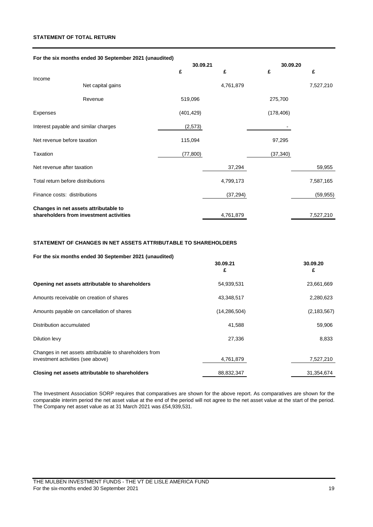### **STATEMENT OF TOTAL RETURN**

| For the six months ended 30 September 2021 (unaudited) |                                         |               |           |               |  |
|--------------------------------------------------------|-----------------------------------------|---------------|-----------|---------------|--|
|                                                        |                                         | 30.09.21<br>£ | £<br>£    | 30.09.20<br>£ |  |
| Income                                                 |                                         |               |           |               |  |
|                                                        | Net capital gains                       |               | 4,761,879 | 7,527,210     |  |
|                                                        | Revenue                                 | 519,096       |           | 275,700       |  |
| Expenses                                               |                                         | (401, 429)    |           | (178, 406)    |  |
| Interest payable and similar charges                   |                                         | (2,573)       |           |               |  |
| Net revenue before taxation                            |                                         | 115,094       |           | 97,295        |  |
| Taxation                                               |                                         | (77,800)      |           | (37, 340)     |  |
| Net revenue after taxation                             |                                         |               | 37,294    | 59,955        |  |
| Total return before distributions                      |                                         |               | 4,799,173 | 7,587,165     |  |
| Finance costs: distributions                           |                                         |               | (37, 294) | (59, 955)     |  |
|                                                        | Changes in net assets attributable to   |               |           |               |  |
|                                                        | shareholders from investment activities |               | 4,761,879 | 7,527,210     |  |

### **STATEMENT OF CHANGES IN NET ASSETS ATTRIBUTABLE TO SHAREHOLDERS**

### **For the six months ended 30 September 2021 (unaudited)**

|                                                                                              | 30.09.21<br>£  | 30.09.20<br>£ |
|----------------------------------------------------------------------------------------------|----------------|---------------|
| Opening net assets attributable to shareholders                                              | 54,939,531     | 23,661,669    |
| Amounts receivable on creation of shares                                                     | 43,348,517     | 2,280,623     |
| Amounts payable on cancellation of shares                                                    | (14, 286, 504) | (2, 183, 567) |
| Distribution accumulated                                                                     | 41,588         | 59,906        |
| Dilution levy                                                                                | 27,336         | 8,833         |
| Changes in net assets attributable to shareholders from<br>investment activities (see above) | 4,761,879      | 7,527,210     |
| Closing net assets attributable to shareholders                                              | 88,832,347     | 31,354,674    |

The Investment Association SORP requires that comparatives are shown for the above report. As comparatives are shown for the comparable interim period the net asset value at the end of the period will not agree to the net asset value at the start of the period. The Company net asset value as at 31 March 2021 was £54,939,531.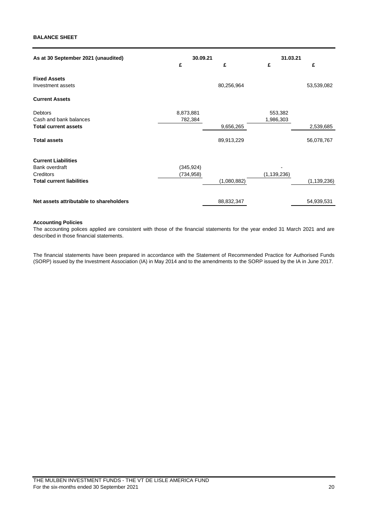### **BALANCE SHEET**

| As at 30 September 2021 (unaudited)                                                            | 30.09.21<br>£            | £                       | 31.03.21<br>£        | £                       |
|------------------------------------------------------------------------------------------------|--------------------------|-------------------------|----------------------|-------------------------|
| <b>Fixed Assets</b><br>Investment assets                                                       |                          | 80,256,964              |                      | 53,539,082              |
| <b>Current Assets</b>                                                                          |                          |                         |                      |                         |
| <b>Debtors</b><br>Cash and bank balances<br><b>Total current assets</b><br><b>Total assets</b> | 8,873,881<br>782,384     | 9,656,265<br>89,913,229 | 553,382<br>1,986,303 | 2,539,685<br>56,078,767 |
| <b>Current Liabilities</b><br>Bank overdraft<br>Creditors<br><b>Total current liabilities</b>  | (345, 924)<br>(734, 958) | (1,080,882)             | (1, 139, 236)        | (1, 139, 236)           |
| Net assets attributable to shareholders                                                        |                          | 88,832,347              |                      | 54,939,531              |

### **Accounting Policies**

The accounting polices applied are consistent with those of the financial statements for the year ended 31 March 2021 and are described in those financial statements.

The financial statements have been prepared in accordance with the Statement of Recommended Practice for Authorised Funds (SORP) issued by the Investment Association (IA) in May 2014 and to the amendments to the SORP issued by the IA in June 2017.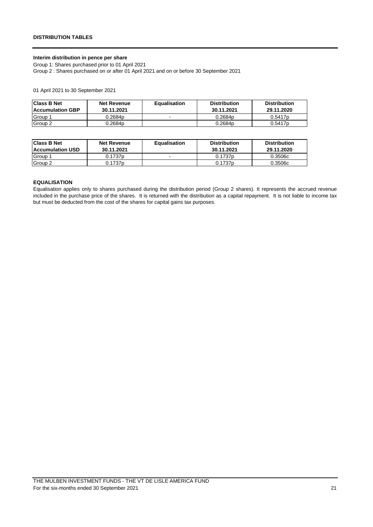### **Interim distribution in pence per share**

Group 1: Shares purchased prior to 01 April 2021

Group 2 : Shares purchased on or after 01 April 2021 and on or before 30 September 2021

01 April 2021 to 30 September 2021

| <b>Class B Net</b><br><b>Accumulation GBP</b> | <b>Net Revenue</b><br>30.11.2021 | <b>Equalisation</b>      | <b>Distribution</b><br>30.11.2021 | <b>Distribution</b><br>29.11.2020 |
|-----------------------------------------------|----------------------------------|--------------------------|-----------------------------------|-----------------------------------|
| Group 1                                       | 0.2684p                          | $\overline{\phantom{a}}$ | 0.2684p                           | 0.5417p                           |
| Group 2                                       | 0.2684p                          |                          | 0.2684p                           | 0.5417p                           |

| <b>Class B Net</b><br>Accumulation USD | <b>Net Revenue</b><br>30.11.2021 | <b>Equalisation</b> | <b>Distribution</b><br>30.11.2021 | <b>Distribution</b><br>29.11.2020 |
|----------------------------------------|----------------------------------|---------------------|-----------------------------------|-----------------------------------|
| Group                                  | 0.1737 <sub>p</sub>              |                     | 0.1737 <sub>p</sub>               | 0.3506c                           |
| Group 2                                | 0.1737 <sub>p</sub>              |                     | 0.1737 <sub>p</sub>               | 0.3506c                           |

### **EQUALISATION**

Equalisation applies only to shares purchased during the distribution period (Group 2 shares). It represents the accrued revenue included in the purchase price of the shares. It is returned with the distribution as a capital repayment. It is not liable to income tax but must be deducted from the cost of the shares for capital gains tax purposes.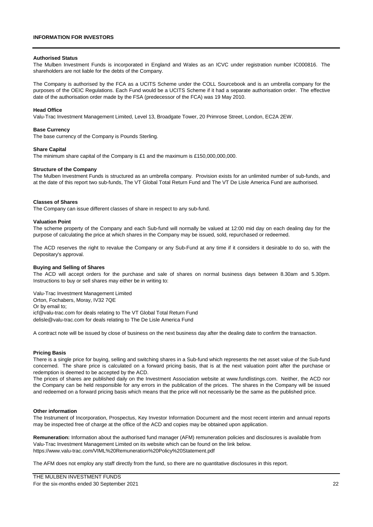### **INFORMATION FOR INVESTORS**

#### **Authorised Status**

The Mulben Investment Funds is incorporated in England and Wales as an ICVC under registration number IC000816. The shareholders are not liable for the debts of the Company.

The Company is authorised by the FCA as a UCITS Scheme under the COLL Sourcebook and is an umbrella company for the purposes of the OEIC Regulations. Each Fund would be a UCITS Scheme if it had a separate authorisation order. The effective date of the authorisation order made by the FSA (predecessor of the FCA) was 19 May 2010.

#### **Head Office**

Valu-Trac Investment Management Limited, Level 13, Broadgate Tower, 20 Primrose Street, London, EC2A 2EW.

### **Base Currency**

The base currency of the Company is Pounds Sterling.

#### **Share Capital**

The minimum share capital of the Company is £1 and the maximum is £150,000,000,000.

#### **Structure of the Company**

The Mulben Investment Funds is structured as an umbrella company. Provision exists for an unlimited number of sub-funds, and at the date of this report two sub-funds, The VT Global Total Return Fund and The VT De Lisle America Fund are authorised.

#### **Classes of Shares**

The Company can issue different classes of share in respect to any sub-fund.

#### **Valuation Point**

The scheme property of the Company and each Sub-fund will normally be valued at 12:00 mid day on each dealing day for the purpose of calculating the price at which shares in the Company may be issued, sold, repurchased or redeemed.

The ACD reserves the right to revalue the Company or any Sub-Fund at any time if it considers it desirable to do so, with the Depositary's approval.

#### **Buying and Selling of Shares**

The ACD will accept orders for the purchase and sale of shares on normal business days between 8.30am and 5.30pm. Instructions to buy or sell shares may either be in writing to:

Valu-Trac Investment Management Limited Orton, Fochabers, Moray, IV32 7QE Or by email to; [icf@valu-trac.com for deals relating to The VT Global Total Return Fund](mailto:icf@valu-trac.com%20for%20deals%20relating%20to%20The%20VT%20Global%20Total%20Return%20Fund) delisle@valu-trac.com for deals relating to The De Lisle America Fund

A contract note will be issued by close of business on the next business day after the dealing date to confirm the transaction.

### **Pricing Basis**

There is a single price for buying, selling and switching shares in a Sub-fund which represents the net asset value of the Sub-fund concerned. The share price is calculated on a forward pricing basis, that is at the next valuation point after the purchase or redemption is deemed to be accepted by the ACD.

The prices of shares are published daily on the Investment Association website at www.fundlistings.com. Neither, the ACD nor the Company can be held responsible for any errors in the publication of the prices. The shares in the Company will be issued and redeemed on a forward pricing basis which means that the price will not necessarily be the same as the published price.

#### **Other information**

The Instrument of Incorporation, Prospectus, Key Investor Information Document and the most recent interim and annual reports may be inspected free of charge at the office of the ACD and copies may be obtained upon application.

**Remuneration:** Information about the authorised fund manager (AFM) remuneration policies and disclosures is available from Valu-Trac Investment Management Limited on its website which can be found on the link below. [https://www.valu-trac.com/VIML%20Remuneration%20Policy%20Statement.pdf](https://www.valu-trac.com/VIML Remuneration Policy Statement.pdf)

The AFM does not employ any staff directly from the fund, so there are no quantitative disclosures in this report.